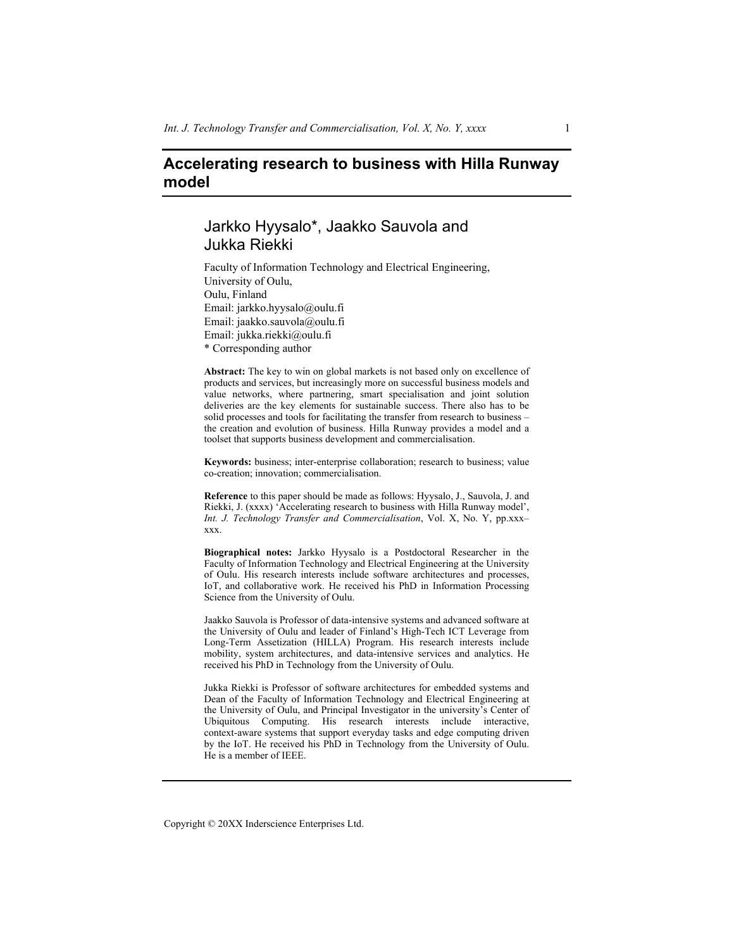# **Accelerating research to business with Hilla Runway model**

## Jarkko Hyysalo\*, Jaakko Sauvola and Jukka Riekki

Faculty of Information Technology and Electrical Engineering, University of Oulu, Oulu, Finland Email: jarkko.hyysalo@oulu.fi Email: jaakko.sauvola@oulu.fi Email: jukka.riekki@oulu.fi \* Corresponding author

**Abstract:** The key to win on global markets is not based only on excellence of products and services, but increasingly more on successful business models and value networks, where partnering, smart specialisation and joint solution deliveries are the key elements for sustainable success. There also has to be solid processes and tools for facilitating the transfer from research to business – the creation and evolution of business. Hilla Runway provides a model and a toolset that supports business development and commercialisation.

**Keywords:** business; inter-enterprise collaboration; research to business; value co-creation; innovation; commercialisation.

**Reference** to this paper should be made as follows: Hyysalo, J., Sauvola, J. and Riekki, J. (xxxx) 'Accelerating research to business with Hilla Runway model', *Int. J. Technology Transfer and Commercialisation*, Vol. X, No. Y, pp.xxx– xxx.

**Biographical notes:** Jarkko Hyysalo is a Postdoctoral Researcher in the Faculty of Information Technology and Electrical Engineering at the University of Oulu. His research interests include software architectures and processes, IoT, and collaborative work. He received his PhD in Information Processing Science from the University of Oulu.

Jaakko Sauvola is Professor of data-intensive systems and advanced software at the University of Oulu and leader of Finland's High-Tech ICT Leverage from Long-Term Assetization (HILLA) Program. His research interests include mobility, system architectures, and data-intensive services and analytics. He received his PhD in Technology from the University of Oulu.

Jukka Riekki is Professor of software architectures for embedded systems and Dean of the Faculty of Information Technology and Electrical Engineering at the University of Oulu, and Principal Investigator in the university's Center of Ubiquitous Computing. His research interests include interactive, context-aware systems that support everyday tasks and edge computing driven by the IoT. He received his PhD in Technology from the University of Oulu. He is a member of IEEE.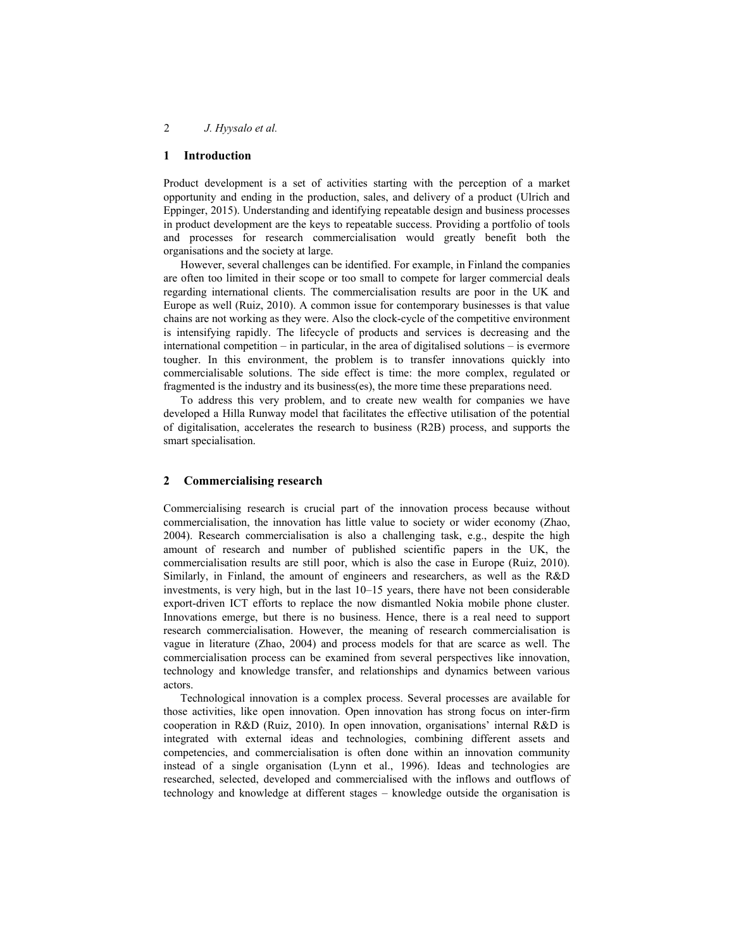#### **1 Introduction**

Product development is a set of activities starting with the perception of a market opportunity and ending in the production, sales, and delivery of a product (Ulrich and Eppinger, 2015). Understanding and identifying repeatable design and business processes in product development are the keys to repeatable success. Providing a portfolio of tools and processes for research commercialisation would greatly benefit both the organisations and the society at large.

However, several challenges can be identified. For example, in Finland the companies are often too limited in their scope or too small to compete for larger commercial deals regarding international clients. The commercialisation results are poor in the UK and Europe as well (Ruiz, 2010). A common issue for contemporary businesses is that value chains are not working as they were. Also the clock-cycle of the competitive environment is intensifying rapidly. The lifecycle of products and services is decreasing and the international competition – in particular, in the area of digitalised solutions – is evermore tougher. In this environment, the problem is to transfer innovations quickly into commercialisable solutions. The side effect is time: the more complex, regulated or fragmented is the industry and its business(es), the more time these preparations need.

To address this very problem, and to create new wealth for companies we have developed a Hilla Runway model that facilitates the effective utilisation of the potential of digitalisation, accelerates the research to business (R2B) process, and supports the smart specialisation.

## **2 Commercialising research**

Commercialising research is crucial part of the innovation process because without commercialisation, the innovation has little value to society or wider economy (Zhao, 2004). Research commercialisation is also a challenging task, e.g., despite the high amount of research and number of published scientific papers in the UK, the commercialisation results are still poor, which is also the case in Europe (Ruiz, 2010). Similarly, in Finland, the amount of engineers and researchers, as well as the R&D investments, is very high, but in the last 10–15 years, there have not been considerable export-driven ICT efforts to replace the now dismantled Nokia mobile phone cluster. Innovations emerge, but there is no business. Hence, there is a real need to support research commercialisation. However, the meaning of research commercialisation is vague in literature (Zhao, 2004) and process models for that are scarce as well. The commercialisation process can be examined from several perspectives like innovation, technology and knowledge transfer, and relationships and dynamics between various actors.

Technological innovation is a complex process. Several processes are available for those activities, like open innovation. Open innovation has strong focus on inter-firm cooperation in R&D (Ruiz, 2010). In open innovation, organisations' internal R&D is integrated with external ideas and technologies, combining different assets and competencies, and commercialisation is often done within an innovation community instead of a single organisation (Lynn et al., 1996). Ideas and technologies are researched, selected, developed and commercialised with the inflows and outflows of technology and knowledge at different stages – knowledge outside the organisation is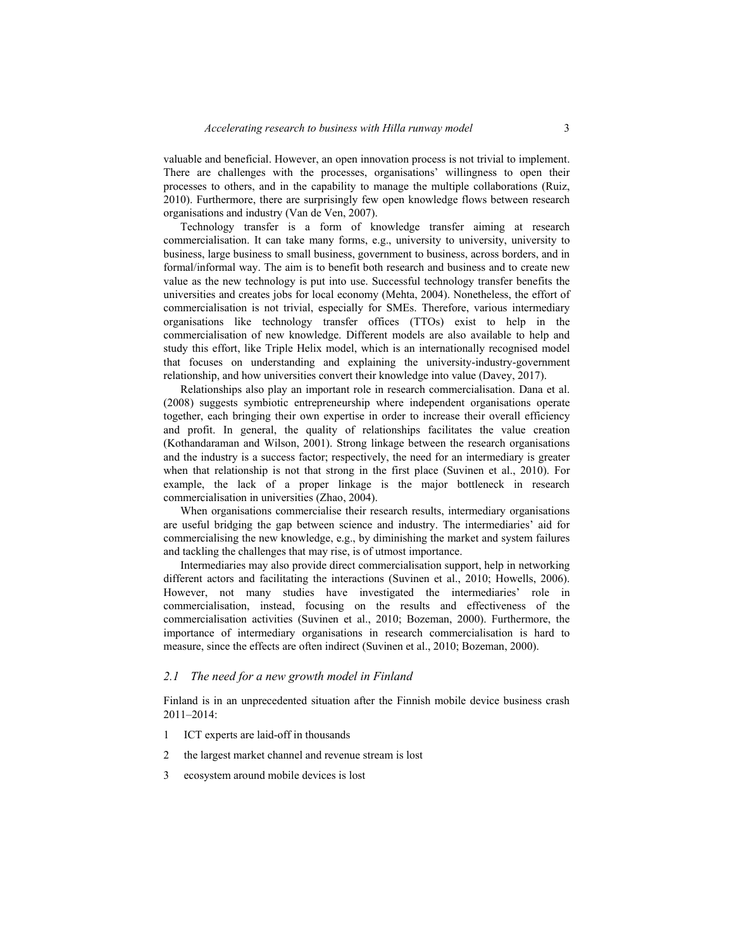valuable and beneficial. However, an open innovation process is not trivial to implement. There are challenges with the processes, organisations' willingness to open their processes to others, and in the capability to manage the multiple collaborations (Ruiz, 2010). Furthermore, there are surprisingly few open knowledge flows between research organisations and industry (Van de Ven, 2007).

Technology transfer is a form of knowledge transfer aiming at research commercialisation. It can take many forms, e.g., university to university, university to business, large business to small business, government to business, across borders, and in formal/informal way. The aim is to benefit both research and business and to create new value as the new technology is put into use. Successful technology transfer benefits the universities and creates jobs for local economy (Mehta, 2004). Nonetheless, the effort of commercialisation is not trivial, especially for SMEs. Therefore, various intermediary organisations like technology transfer offices (TTOs) exist to help in the commercialisation of new knowledge. Different models are also available to help and study this effort, like Triple Helix model, which is an internationally recognised model that focuses on understanding and explaining the university-industry-government relationship, and how universities convert their knowledge into value (Davey, 2017).

Relationships also play an important role in research commercialisation. Dana et al. (2008) suggests symbiotic entrepreneurship where independent organisations operate together, each bringing their own expertise in order to increase their overall efficiency and profit. In general, the quality of relationships facilitates the value creation (Kothandaraman and Wilson, 2001). Strong linkage between the research organisations and the industry is a success factor; respectively, the need for an intermediary is greater when that relationship is not that strong in the first place (Suvinen et al., 2010). For example, the lack of a proper linkage is the major bottleneck in research commercialisation in universities (Zhao, 2004).

When organisations commercialise their research results, intermediary organisations are useful bridging the gap between science and industry. The intermediaries' aid for commercialising the new knowledge, e.g., by diminishing the market and system failures and tackling the challenges that may rise, is of utmost importance.

Intermediaries may also provide direct commercialisation support, help in networking different actors and facilitating the interactions (Suvinen et al., 2010; Howells, 2006). However, not many studies have investigated the intermediaries' role in commercialisation, instead, focusing on the results and effectiveness of the commercialisation activities (Suvinen et al., 2010; Bozeman, 2000). Furthermore, the importance of intermediary organisations in research commercialisation is hard to measure, since the effects are often indirect (Suvinen et al., 2010; Bozeman, 2000).

#### *2.1 The need for a new growth model in Finland*

Finland is in an unprecedented situation after the Finnish mobile device business crash 2011–2014:

- 1 ICT experts are laid-off in thousands
- 2 the largest market channel and revenue stream is lost
- 3 ecosystem around mobile devices is lost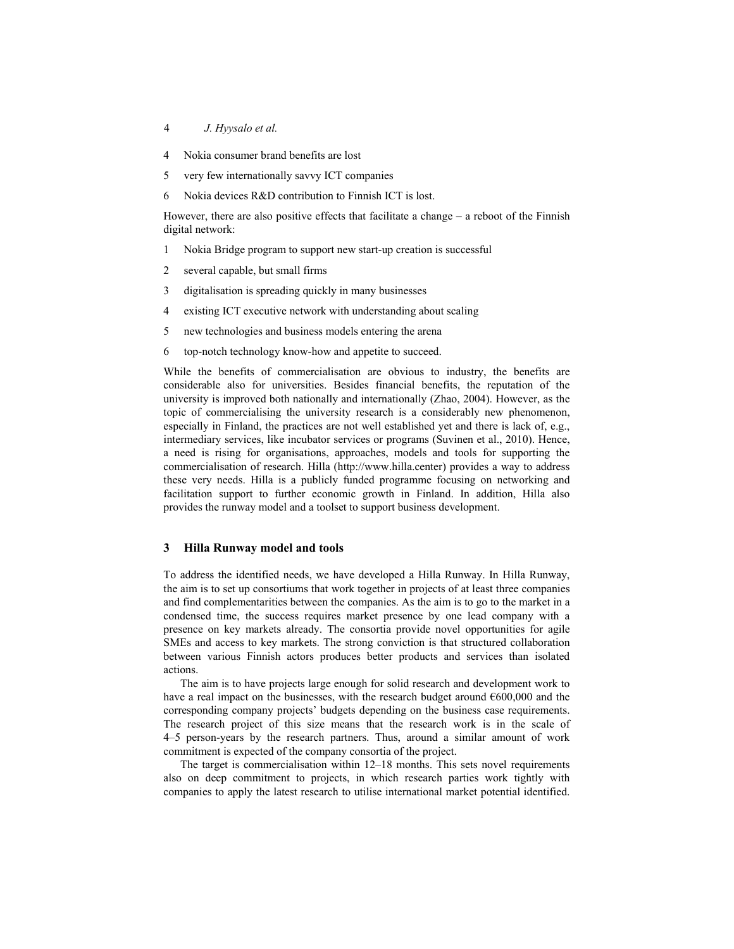- 4 *J. Hyysalo et al.*
- 4 Nokia consumer brand benefits are lost
- 5 very few internationally savvy ICT companies
- 6 Nokia devices R&D contribution to Finnish ICT is lost.

However, there are also positive effects that facilitate a change – a reboot of the Finnish digital network:

- 1 Nokia Bridge program to support new start-up creation is successful
- 2 several capable, but small firms
- 3 digitalisation is spreading quickly in many businesses
- 4 existing ICT executive network with understanding about scaling
- 5 new technologies and business models entering the arena
- 6 top-notch technology know-how and appetite to succeed.

While the benefits of commercialisation are obvious to industry, the benefits are considerable also for universities. Besides financial benefits, the reputation of the university is improved both nationally and internationally (Zhao, 2004). However, as the topic of commercialising the university research is a considerably new phenomenon, especially in Finland, the practices are not well established yet and there is lack of, e.g., intermediary services, like incubator services or programs (Suvinen et al., 2010). Hence, a need is rising for organisations, approaches, models and tools for supporting the commercialisation of research. Hilla (http://www.hilla.center) provides a way to address these very needs. Hilla is a publicly funded programme focusing on networking and facilitation support to further economic growth in Finland. In addition, Hilla also provides the runway model and a toolset to support business development.

## **3 Hilla Runway model and tools**

To address the identified needs, we have developed a Hilla Runway. In Hilla Runway, the aim is to set up consortiums that work together in projects of at least three companies and find complementarities between the companies. As the aim is to go to the market in a condensed time, the success requires market presence by one lead company with a presence on key markets already. The consortia provide novel opportunities for agile SMEs and access to key markets. The strong conviction is that structured collaboration between various Finnish actors produces better products and services than isolated actions.

The aim is to have projects large enough for solid research and development work to have a real impact on the businesses, with the research budget around €600,000 and the corresponding company projects' budgets depending on the business case requirements. The research project of this size means that the research work is in the scale of 4–5 person-years by the research partners. Thus, around a similar amount of work commitment is expected of the company consortia of the project.

The target is commercialisation within 12–18 months. This sets novel requirements also on deep commitment to projects, in which research parties work tightly with companies to apply the latest research to utilise international market potential identified.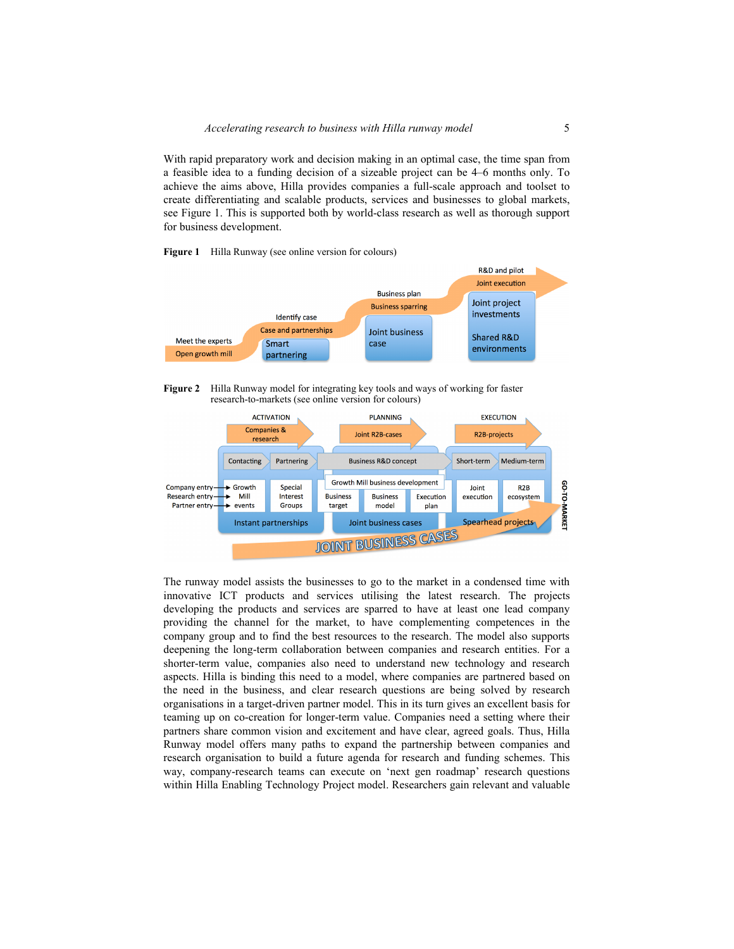With rapid preparatory work and decision making in an optimal case, the time span from a feasible idea to a funding decision of a sizeable project can be 4–6 months only. To achieve the aims above, Hilla provides companies a full-scale approach and toolset to create differentiating and scalable products, services and businesses to global markets, see Figure 1. This is supported both by world-class research as well as thorough support for business development.

#### **Figure 1** Hilla Runway (see online version for colours)



**Figure 2** Hilla Runway model for integrating key tools and ways of working for faster research-to-markets (see online version for colours)



The runway model assists the businesses to go to the market in a condensed time with innovative ICT products and services utilising the latest research. The projects developing the products and services are sparred to have at least one lead company providing the channel for the market, to have complementing competences in the company group and to find the best resources to the research. The model also supports deepening the long-term collaboration between companies and research entities. For a shorter-term value, companies also need to understand new technology and research aspects. Hilla is binding this need to a model, where companies are partnered based on the need in the business, and clear research questions are being solved by research organisations in a target-driven partner model. This in its turn gives an excellent basis for teaming up on co-creation for longer-term value. Companies need a setting where their partners share common vision and excitement and have clear, agreed goals. Thus, Hilla Runway model offers many paths to expand the partnership between companies and research organisation to build a future agenda for research and funding schemes. This way, company-research teams can execute on 'next gen roadmap' research questions within Hilla Enabling Technology Project model. Researchers gain relevant and valuable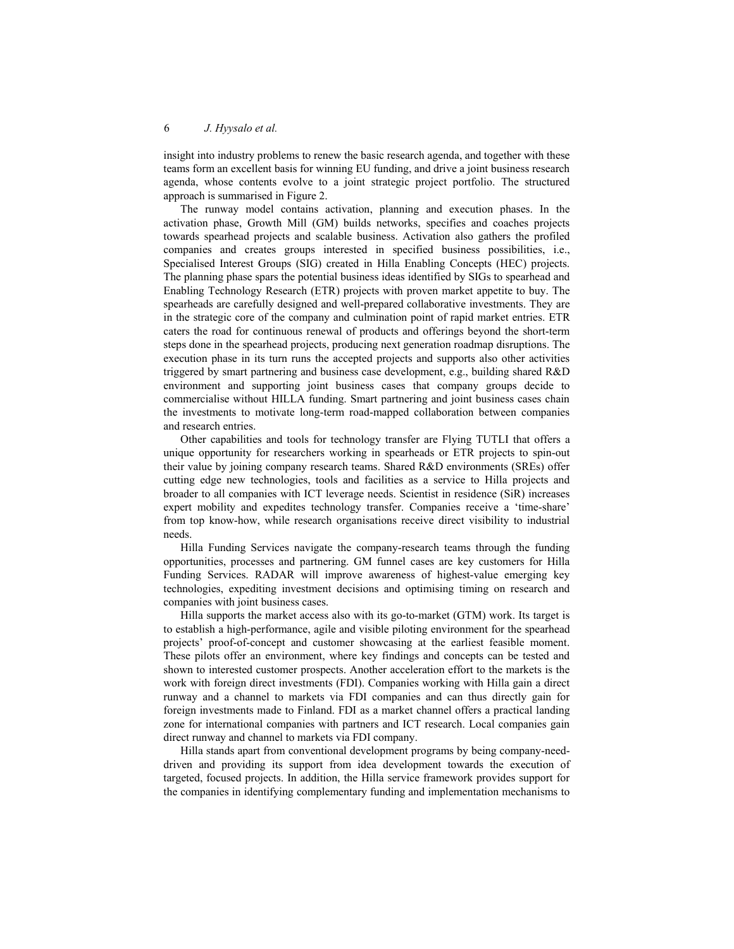insight into industry problems to renew the basic research agenda, and together with these teams form an excellent basis for winning EU funding, and drive a joint business research agenda, whose contents evolve to a joint strategic project portfolio. The structured approach is summarised in Figure 2.

The runway model contains activation, planning and execution phases. In the activation phase, Growth Mill (GM) builds networks, specifies and coaches projects towards spearhead projects and scalable business. Activation also gathers the profiled companies and creates groups interested in specified business possibilities, i.e., Specialised Interest Groups (SIG) created in Hilla Enabling Concepts (HEC) projects. The planning phase spars the potential business ideas identified by SIGs to spearhead and Enabling Technology Research (ETR) projects with proven market appetite to buy. The spearheads are carefully designed and well-prepared collaborative investments. They are in the strategic core of the company and culmination point of rapid market entries. ETR caters the road for continuous renewal of products and offerings beyond the short-term steps done in the spearhead projects, producing next generation roadmap disruptions. The execution phase in its turn runs the accepted projects and supports also other activities triggered by smart partnering and business case development, e.g., building shared R&D environment and supporting joint business cases that company groups decide to commercialise without HILLA funding. Smart partnering and joint business cases chain the investments to motivate long-term road-mapped collaboration between companies and research entries.

Other capabilities and tools for technology transfer are Flying TUTLI that offers a unique opportunity for researchers working in spearheads or ETR projects to spin-out their value by joining company research teams. Shared R&D environments (SREs) offer cutting edge new technologies, tools and facilities as a service to Hilla projects and broader to all companies with ICT leverage needs. Scientist in residence (SiR) increases expert mobility and expedites technology transfer. Companies receive a 'time-share' from top know-how, while research organisations receive direct visibility to industrial needs.

Hilla Funding Services navigate the company-research teams through the funding opportunities, processes and partnering. GM funnel cases are key customers for Hilla Funding Services. RADAR will improve awareness of highest-value emerging key technologies, expediting investment decisions and optimising timing on research and companies with joint business cases.

Hilla supports the market access also with its go-to-market (GTM) work. Its target is to establish a high-performance, agile and visible piloting environment for the spearhead projects' proof-of-concept and customer showcasing at the earliest feasible moment. These pilots offer an environment, where key findings and concepts can be tested and shown to interested customer prospects. Another acceleration effort to the markets is the work with foreign direct investments (FDI). Companies working with Hilla gain a direct runway and a channel to markets via FDI companies and can thus directly gain for foreign investments made to Finland. FDI as a market channel offers a practical landing zone for international companies with partners and ICT research. Local companies gain direct runway and channel to markets via FDI company.

Hilla stands apart from conventional development programs by being company-needdriven and providing its support from idea development towards the execution of targeted, focused projects. In addition, the Hilla service framework provides support for the companies in identifying complementary funding and implementation mechanisms to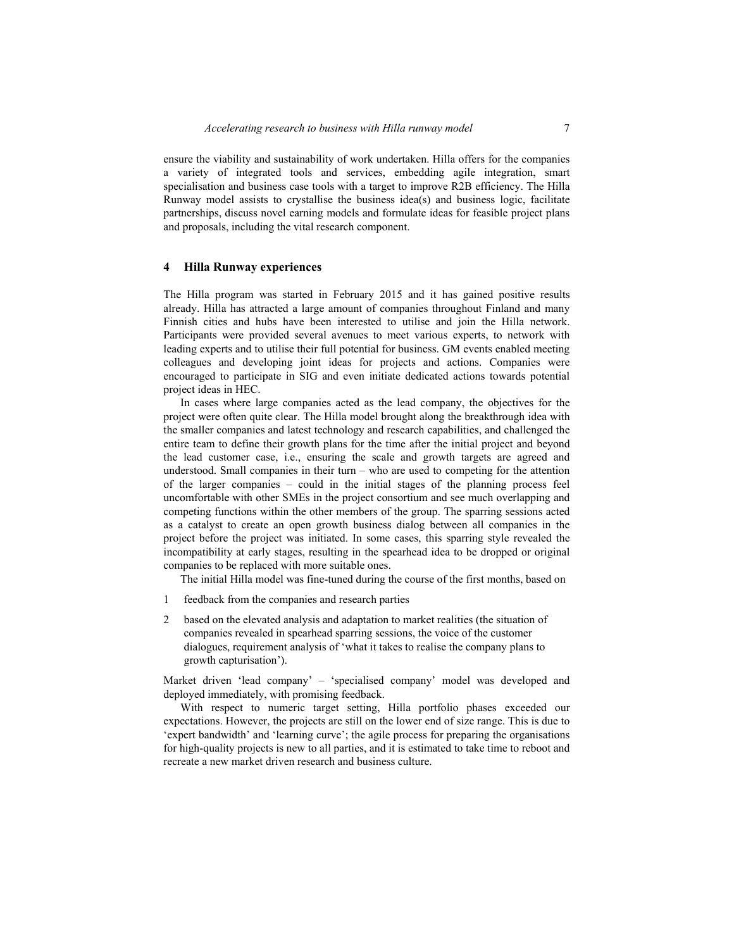ensure the viability and sustainability of work undertaken. Hilla offers for the companies a variety of integrated tools and services, embedding agile integration, smart specialisation and business case tools with a target to improve R2B efficiency. The Hilla Runway model assists to crystallise the business idea(s) and business logic, facilitate partnerships, discuss novel earning models and formulate ideas for feasible project plans and proposals, including the vital research component.

### **4 Hilla Runway experiences**

The Hilla program was started in February 2015 and it has gained positive results already. Hilla has attracted a large amount of companies throughout Finland and many Finnish cities and hubs have been interested to utilise and join the Hilla network. Participants were provided several avenues to meet various experts, to network with leading experts and to utilise their full potential for business. GM events enabled meeting colleagues and developing joint ideas for projects and actions. Companies were encouraged to participate in SIG and even initiate dedicated actions towards potential project ideas in HEC.

In cases where large companies acted as the lead company, the objectives for the project were often quite clear. The Hilla model brought along the breakthrough idea with the smaller companies and latest technology and research capabilities, and challenged the entire team to define their growth plans for the time after the initial project and beyond the lead customer case, i.e., ensuring the scale and growth targets are agreed and understood. Small companies in their turn – who are used to competing for the attention of the larger companies – could in the initial stages of the planning process feel uncomfortable with other SMEs in the project consortium and see much overlapping and competing functions within the other members of the group. The sparring sessions acted as a catalyst to create an open growth business dialog between all companies in the project before the project was initiated. In some cases, this sparring style revealed the incompatibility at early stages, resulting in the spearhead idea to be dropped or original companies to be replaced with more suitable ones.

The initial Hilla model was fine-tuned during the course of the first months, based on

- 1 feedback from the companies and research parties
- 2 based on the elevated analysis and adaptation to market realities (the situation of companies revealed in spearhead sparring sessions, the voice of the customer dialogues, requirement analysis of 'what it takes to realise the company plans to growth capturisation').

Market driven 'lead company' – 'specialised company' model was developed and deployed immediately, with promising feedback.

With respect to numeric target setting, Hilla portfolio phases exceeded our expectations. However, the projects are still on the lower end of size range. This is due to 'expert bandwidth' and 'learning curve'; the agile process for preparing the organisations for high-quality projects is new to all parties, and it is estimated to take time to reboot and recreate a new market driven research and business culture.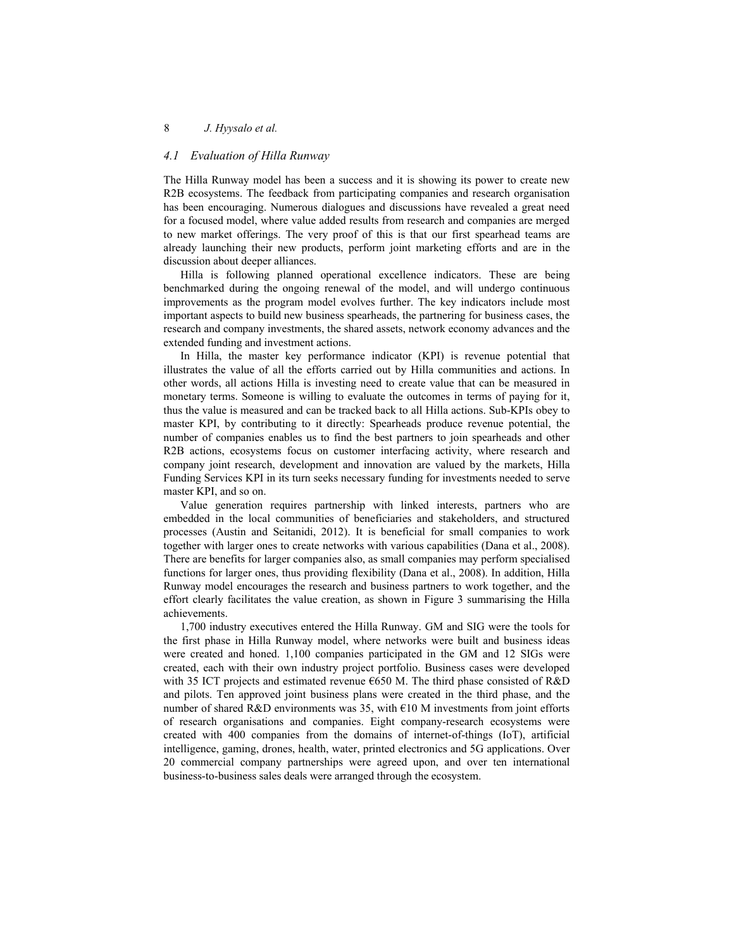#### *4.1 Evaluation of Hilla Runway*

The Hilla Runway model has been a success and it is showing its power to create new R2B ecosystems. The feedback from participating companies and research organisation has been encouraging. Numerous dialogues and discussions have revealed a great need for a focused model, where value added results from research and companies are merged to new market offerings. The very proof of this is that our first spearhead teams are already launching their new products, perform joint marketing efforts and are in the discussion about deeper alliances.

Hilla is following planned operational excellence indicators. These are being benchmarked during the ongoing renewal of the model, and will undergo continuous improvements as the program model evolves further. The key indicators include most important aspects to build new business spearheads, the partnering for business cases, the research and company investments, the shared assets, network economy advances and the extended funding and investment actions.

In Hilla, the master key performance indicator (KPI) is revenue potential that illustrates the value of all the efforts carried out by Hilla communities and actions. In other words, all actions Hilla is investing need to create value that can be measured in monetary terms. Someone is willing to evaluate the outcomes in terms of paying for it, thus the value is measured and can be tracked back to all Hilla actions. Sub-KPIs obey to master KPI, by contributing to it directly: Spearheads produce revenue potential, the number of companies enables us to find the best partners to join spearheads and other R2B actions, ecosystems focus on customer interfacing activity, where research and company joint research, development and innovation are valued by the markets, Hilla Funding Services KPI in its turn seeks necessary funding for investments needed to serve master KPI, and so on.

Value generation requires partnership with linked interests, partners who are embedded in the local communities of beneficiaries and stakeholders, and structured processes (Austin and Seitanidi, 2012). It is beneficial for small companies to work together with larger ones to create networks with various capabilities (Dana et al., 2008). There are benefits for larger companies also, as small companies may perform specialised functions for larger ones, thus providing flexibility (Dana et al., 2008). In addition, Hilla Runway model encourages the research and business partners to work together, and the effort clearly facilitates the value creation, as shown in Figure 3 summarising the Hilla achievements.

1,700 industry executives entered the Hilla Runway. GM and SIG were the tools for the first phase in Hilla Runway model, where networks were built and business ideas were created and honed. 1,100 companies participated in the GM and 12 SIGs were created, each with their own industry project portfolio. Business cases were developed with 35 ICT projects and estimated revenue €650 M. The third phase consisted of R&D and pilots. Ten approved joint business plans were created in the third phase, and the number of shared R&D environments was 35, with  $E10$  M investments from joint efforts of research organisations and companies. Eight company-research ecosystems were created with 400 companies from the domains of internet-of-things (IoT), artificial intelligence, gaming, drones, health, water, printed electronics and 5G applications. Over 20 commercial company partnerships were agreed upon, and over ten international business-to-business sales deals were arranged through the ecosystem.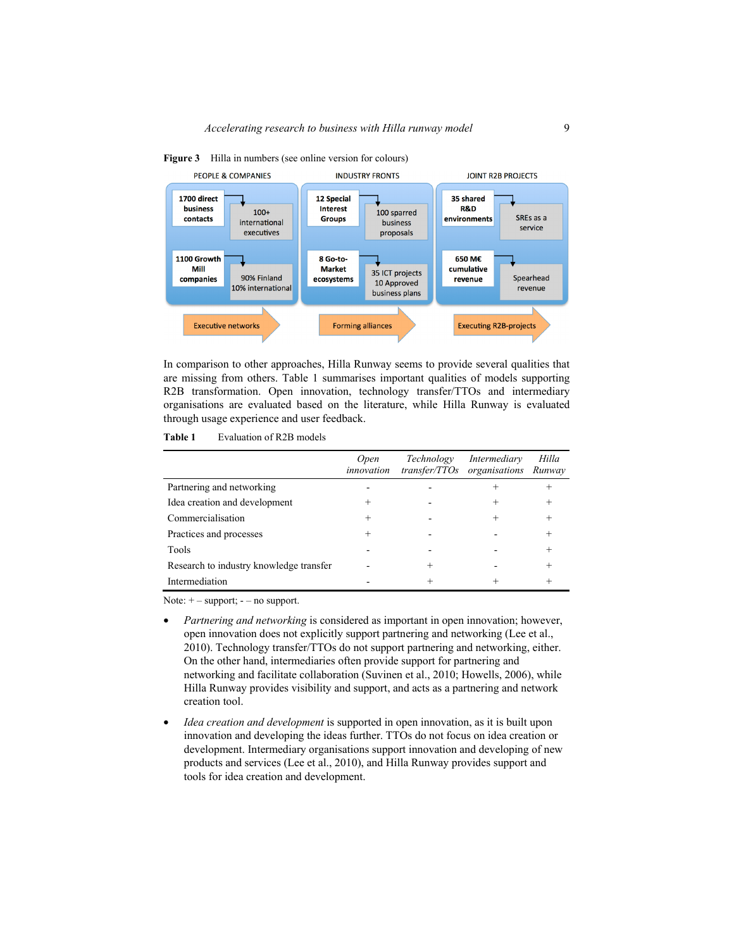

#### Figure 3 Hilla in numbers (see online version for colours)

In comparison to other approaches, Hilla Runway seems to provide several qualities that are missing from others. Table 1 summarises important qualities of models supporting R2B transformation. Open innovation, technology transfer/TTOs and intermediary organisations are evaluated based on the literature, while Hilla Runway is evaluated through usage experience and user feedback.

**Table 1** Evaluation of R2B models

|                                         | <i>Open</i><br>innovation | Technology | Intermediary<br>transfer/TTOs organisations Runway | Hilla  |
|-----------------------------------------|---------------------------|------------|----------------------------------------------------|--------|
| Partnering and networking               |                           |            |                                                    |        |
| Idea creation and development           | $^+$                      |            | ┿                                                  |        |
| Commercialisation                       | $\pm$                     |            |                                                    |        |
| Practices and processes                 | $^+$                      |            |                                                    |        |
| Tools                                   |                           |            |                                                    | $^{+}$ |
| Research to industry knowledge transfer |                           | $^+$       |                                                    |        |
| Intermediation                          |                           |            |                                                    |        |

Note:  $+ -$  support;  $- -$  no support.

- *Partnering and networking* is considered as important in open innovation; however, open innovation does not explicitly support partnering and networking (Lee et al., 2010). Technology transfer/TTOs do not support partnering and networking, either. On the other hand, intermediaries often provide support for partnering and networking and facilitate collaboration (Suvinen et al., 2010; Howells, 2006), while Hilla Runway provides visibility and support, and acts as a partnering and network creation tool.
- *Idea creation and development* is supported in open innovation, as it is built upon innovation and developing the ideas further. TTOs do not focus on idea creation or development. Intermediary organisations support innovation and developing of new products and services (Lee et al., 2010), and Hilla Runway provides support and tools for idea creation and development.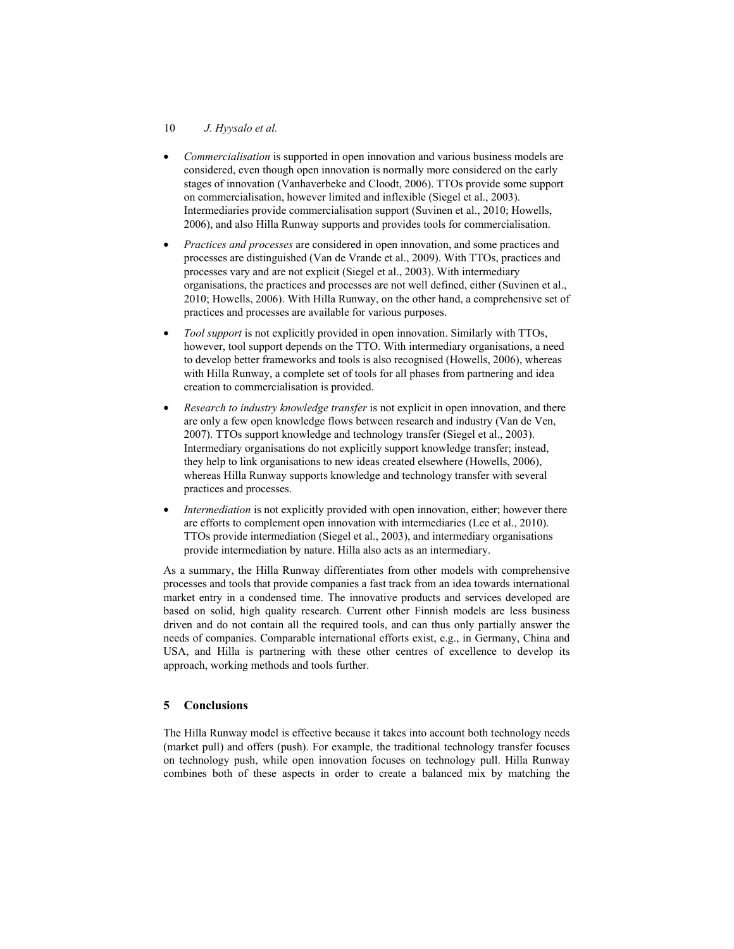- *Commercialisation* is supported in open innovation and various business models are considered, even though open innovation is normally more considered on the early stages of innovation (Vanhaverbeke and Cloodt, 2006). TTOs provide some support on commercialisation, however limited and inflexible (Siegel et al., 2003). Intermediaries provide commercialisation support (Suvinen et al., 2010; Howells, 2006), and also Hilla Runway supports and provides tools for commercialisation.
- *Practices and processes* are considered in open innovation, and some practices and processes are distinguished (Van de Vrande et al., 2009). With TTOs, practices and processes vary and are not explicit (Siegel et al., 2003). With intermediary organisations, the practices and processes are not well defined, either (Suvinen et al., 2010; Howells, 2006). With Hilla Runway, on the other hand, a comprehensive set of practices and processes are available for various purposes.
- *Tool support* is not explicitly provided in open innovation. Similarly with TTOs, however, tool support depends on the TTO. With intermediary organisations, a need to develop better frameworks and tools is also recognised (Howells, 2006), whereas with Hilla Runway, a complete set of tools for all phases from partnering and idea creation to commercialisation is provided.
- *Research to industry knowledge transfer* is not explicit in open innovation, and there are only a few open knowledge flows between research and industry (Van de Ven, 2007). TTOs support knowledge and technology transfer (Siegel et al., 2003). Intermediary organisations do not explicitly support knowledge transfer; instead, they help to link organisations to new ideas created elsewhere (Howells, 2006), whereas Hilla Runway supports knowledge and technology transfer with several practices and processes.
- *Intermediation* is not explicitly provided with open innovation, either; however there are efforts to complement open innovation with intermediaries (Lee et al., 2010). TTOs provide intermediation (Siegel et al., 2003), and intermediary organisations provide intermediation by nature. Hilla also acts as an intermediary.

As a summary, the Hilla Runway differentiates from other models with comprehensive processes and tools that provide companies a fast track from an idea towards international market entry in a condensed time. The innovative products and services developed are based on solid, high quality research. Current other Finnish models are less business driven and do not contain all the required tools, and can thus only partially answer the needs of companies. Comparable international efforts exist, e.g., in Germany, China and USA, and Hilla is partnering with these other centres of excellence to develop its approach, working methods and tools further.

## **5 Conclusions**

The Hilla Runway model is effective because it takes into account both technology needs (market pull) and offers (push). For example, the traditional technology transfer focuses on technology push, while open innovation focuses on technology pull. Hilla Runway combines both of these aspects in order to create a balanced mix by matching the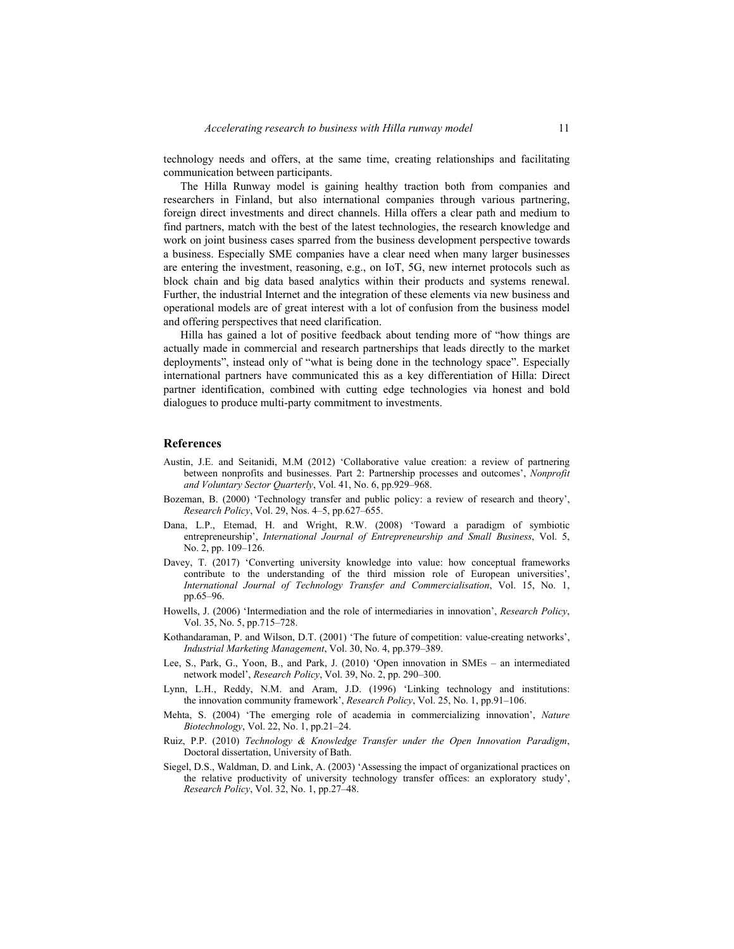technology needs and offers, at the same time, creating relationships and facilitating communication between participants.

The Hilla Runway model is gaining healthy traction both from companies and researchers in Finland, but also international companies through various partnering, foreign direct investments and direct channels. Hilla offers a clear path and medium to find partners, match with the best of the latest technologies, the research knowledge and work on joint business cases sparred from the business development perspective towards a business. Especially SME companies have a clear need when many larger businesses are entering the investment, reasoning, e.g., on IoT, 5G, new internet protocols such as block chain and big data based analytics within their products and systems renewal. Further, the industrial Internet and the integration of these elements via new business and operational models are of great interest with a lot of confusion from the business model and offering perspectives that need clarification.

Hilla has gained a lot of positive feedback about tending more of "how things are actually made in commercial and research partnerships that leads directly to the market deployments", instead only of "what is being done in the technology space". Especially international partners have communicated this as a key differentiation of Hilla: Direct partner identification, combined with cutting edge technologies via honest and bold dialogues to produce multi-party commitment to investments.

#### **References**

- Austin, J.E. and Seitanidi, M.M (2012) 'Collaborative value creation: a review of partnering between nonprofits and businesses. Part 2: Partnership processes and outcomes', *Nonprofit and Voluntary Sector Quarterly*, Vol. 41, No. 6, pp.929–968.
- Bozeman, B. (2000) 'Technology transfer and public policy: a review of research and theory', *Research Policy*, Vol. 29, Nos. 4–5, pp.627–655.
- Dana, L.P., Etemad, H. and Wright, R.W. (2008) 'Toward a paradigm of symbiotic entrepreneurship', *International Journal of Entrepreneurship and Small Business*, Vol. 5, No. 2, pp. 109–126.
- Davey, T. (2017) 'Converting university knowledge into value: how conceptual frameworks contribute to the understanding of the third mission role of European universities', *International Journal of Technology Transfer and Commercialisation*, Vol. 15, No. 1, pp.65–96.
- Howells, J. (2006) 'Intermediation and the role of intermediaries in innovation', *Research Policy*, Vol. 35, No. 5, pp.715–728.
- Kothandaraman, P. and Wilson, D.T. (2001) 'The future of competition: value-creating networks', *Industrial Marketing Management*, Vol. 30, No. 4, pp.379–389.
- Lee, S., Park, G., Yoon, B., and Park, J. (2010) 'Open innovation in SMEs an intermediated network model', *Research Policy*, Vol. 39, No. 2, pp. 290–300.
- Lynn, L.H., Reddy, N.M. and Aram, J.D. (1996) 'Linking technology and institutions: the innovation community framework', *Research Policy*, Vol. 25, No. 1, pp.91–106.
- Mehta, S. (2004) 'The emerging role of academia in commercializing innovation', *Nature Biotechnology*, Vol. 22, No. 1, pp.21–24.
- Ruiz, P.P. (2010) *Technology & Knowledge Transfer under the Open Innovation Paradigm*, Doctoral dissertation, University of Bath.
- Siegel, D.S., Waldman, D. and Link, A. (2003) 'Assessing the impact of organizational practices on the relative productivity of university technology transfer offices: an exploratory study', *Research Policy*, Vol. 32, No. 1, pp.27–48.